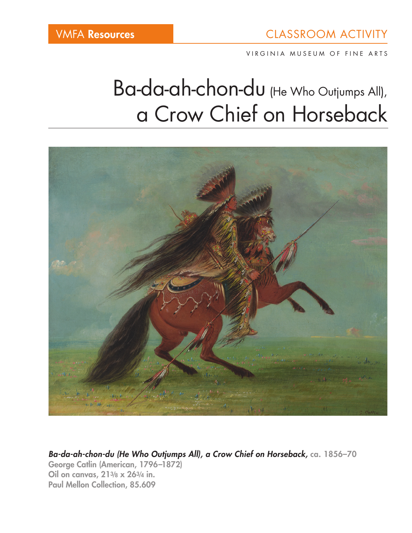VIRGINIA MUSEUM OF FINE ARTS

# Ba-da-ah-chon-du (He Who Outjumps All), a Crow Chief on Horseback



*Ba-da-ah-chon-du (He Who Outjumps All), a Crow Chief on Horseback,* ca. 1856–70 George Catlin (American, 1796–1872) Oil on canvas, 213/8 x 263/4 in. Paul Mellon Collection, 85.609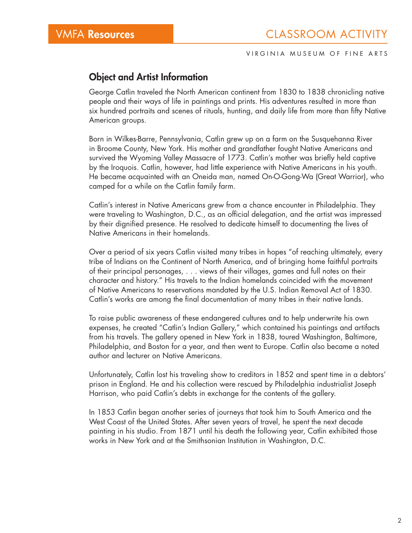#### VIRGINIA MUSEUM OF FINE ARTS

#### Object and Artist Information

George Catlin traveled the North American continent from 1830 to 1838 chronicling native people and their ways of life in paintings and prints. His adventures resulted in more than six hundred portraits and scenes of rituals, hunting, and daily life from more than fifty Native American groups.

Born in Wilkes-Barre, Pennsylvania, Catlin grew up on a farm on the Susquehanna River in Broome County, New York. His mother and grandfather fought Native Americans and survived the Wyoming Valley Massacre of 1773. Catlin's mother was briefly held captive by the Iroquois. Catlin, however, had little experience with Native Americans in his youth. He became acquainted with an Oneida man, named On-O-Gong-Wa (Great Warrior), who camped for a while on the Catlin family farm.

Catlin's interest in Native Americans grew from a chance encounter in Philadelphia. They were traveling to Washington, D.C., as an official delegation, and the artist was impressed by their dignified presence. He resolved to dedicate himself to documenting the lives of Native Americans in their homelands.

Over a period of six years Catlin visited many tribes in hopes "of reaching ultimately, every tribe of Indians on the Continent of North America, and of bringing home faithful portraits of their principal personages, . . . views of their villages, games and full notes on their character and history." His travels to the Indian homelands coincided with the movement of Native Americans to reservations mandated by the U.S. Indian Removal Act of 1830. Catlin's works are among the final documentation of many tribes in their native lands.

To raise public awareness of these endangered cultures and to help underwrite his own expenses, he created "Catlin's Indian Gallery," which contained his paintings and artifacts from his travels. The gallery opened in New York in 1838, toured Washington, Baltimore, Philadelphia, and Boston for a year, and then went to Europe. Catlin also became a noted author and lecturer on Native Americans.

Unfortunately, Catlin lost his traveling show to creditors in 1852 and spent time in a debtors' prison in England. He and his collection were rescued by Philadelphia industrialist Joseph Harrison, who paid Catlin's debts in exchange for the contents of the gallery.

In 1853 Catlin began another series of journeys that took him to South America and the West Coast of the United States. After seven years of travel, he spent the next decade painting in his studio. From 1871 until his death the following year, Catlin exhibited those works in New York and at the Smithsonian Institution in Washington, D.C.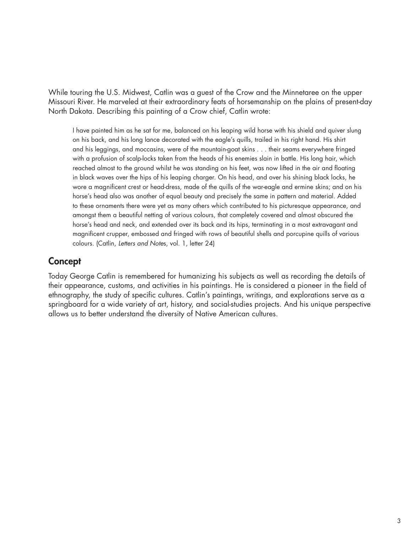While touring the U.S. Midwest, Catlin was a guest of the Crow and the Minnetaree on the upper Missouri River. He marveled at their extraordinary feats of horsemanship on the plains of present-day North Dakota. Describing this painting of a Crow chief, Catlin wrote:

I have painted him as he sat for me, balanced on his leaping wild horse with his shield and quiver slung on his back, and his long lance decorated with the eagle's quills, trailed in his right hand. His shirt and his leggings, and moccasins, were of the mountain-goat skins . . . their seams everywhere fringed with a profusion of scalp-locks taken from the heads of his enemies slain in battle. His long hair, which reached almost to the ground whilst he was standing on his feet, was now lifted in the air and floating in black waves over the hips of his leaping charger. On his head, and over his shining black locks, he wore a magnificent crest or head-dress, made of the quills of the war-eagle and ermine skins; and on his horse's head also was another of equal beauty and precisely the same in pattern and material. Added to these ornaments there were yet as many others which contributed to his picturesque appearance, and amongst them a beautiful netting of various colours, that completely covered and almost obscured the horse's head and neck, and extended over its back and its hips, terminating in a most extravagant and magnificent crupper, embossed and fringed with rows of beautiful shells and porcupine quills of various colours. (Catlin, *Letters and Note*s, vol. 1, letter 24)

## **Concept**

Today George Catlin is remembered for humanizing his subjects as well as recording the details of their appearance, customs, and activities in his paintings. He is considered a pioneer in the field of ethnography, the study of specific cultures. Catlin's paintings, writings, and explorations serve as a springboard for a wide variety of art, history, and social-studies projects. And his unique perspective allows us to better understand the diversity of Native American cultures.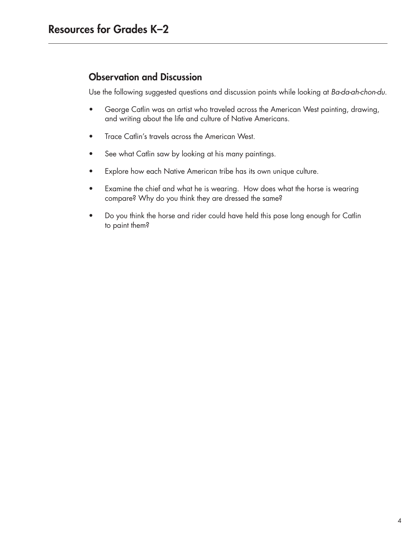# Observation and Discussion

Use the following suggested questions and discussion points while looking at *Ba-da-ah-chon-du*.

- George Catlin was an artist who traveled across the American West painting, drawing, and writing about the life and culture of Native Americans.
- Trace Catlin's travels across the American West.
- See what Catlin saw by looking at his many paintings.
- Explore how each Native American tribe has its own unique culture.
- Examine the chief and what he is wearing. How does what the horse is wearing compare? Why do you think they are dressed the same?
- Do you think the horse and rider could have held this pose long enough for Catlin to paint them?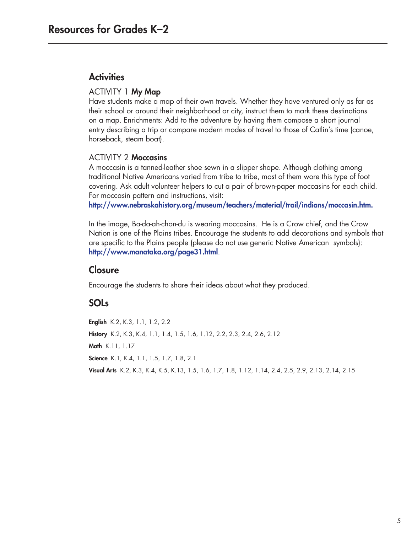## **Activities**

#### ACTIVITY 1 My Map

Have students make a map of their own travels. Whether they have ventured only as far as their school or around their neighborhood or city, instruct them to mark these destinations on a map. Enrichments: Add to the adventure by having them compose a short journal entry describing a trip or compare modern modes of travel to those of Catlin's time (canoe, horseback, steam boat).

#### ACTIVITY 2 Moccasins

A moccasin is a tanned-leather shoe sewn in a slipper shape. Although clothing among traditional Native Americans varied from tribe to tribe, most of them wore this type of foot covering. Ask adult volunteer helpers to cut a pair of brown-paper moccasins for each child. For moccasin pattern and instructions, visit:

http://www.nebraskahistory.org/museum/teachers/material/trail/indians/moccasin.htm.

In the image, Ba-da-ah-chon-du is wearing moccasins. He is a Crow chief, and the Crow Nation is one of the Plains tribes. Encourage the students to add decorations and symbols that are specific to the Plains people (please do not use generic Native American symbols): http://www.manataka.org/page31.html.

### **Closure**

Encourage the students to share their ideas about what they produced.

# SOLs

English K.2, K.3, 1.1, 1.2, 2.2 History K.2, K.3, K.4, 1.1, 1.4, 1.5, 1.6, 1.12, 2.2, 2.3, 2.4, 2.6, 2.12 Math K.11, 1.17 Science K.1, K.4, 1.1, 1.5, 1.7, 1.8, 2.1 Visual Arts K.2, K.3, K.4, K.5, K.13, 1.5, 1.6, 1.7, 1.8, 1.12, 1.14, 2.4, 2.5, 2.9, 2.13, 2.14, 2.15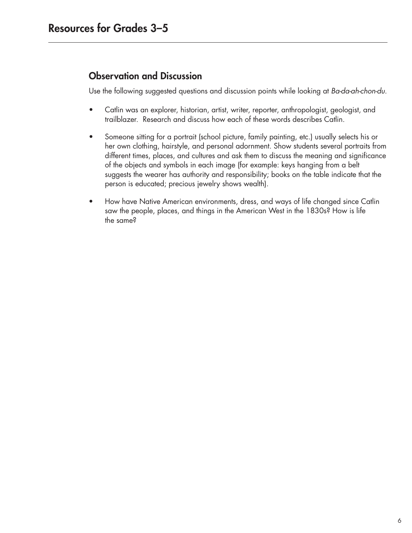# Observation and Discussion

Use the following suggested questions and discussion points while looking at *Ba-da-ah-chon-du*.

- Catlin was an explorer, historian, artist, writer, reporter, anthropologist, geologist, and trailblazer. Research and discuss how each of these words describes Catlin.
- Someone sitting for a portrait (school picture, family painting, etc.) usually selects his or her own clothing, hairstyle, and personal adornment. Show students several portraits from different times, places, and cultures and ask them to discuss the meaning and significance of the objects and symbols in each image (for example: keys hanging from a belt suggests the wearer has authority and responsibility; books on the table indicate that the person is educated; precious jewelry shows wealth).
- How have Native American environments, dress, and ways of life changed since Catlin saw the people, places, and things in the American West in the 1830s? How is life the same?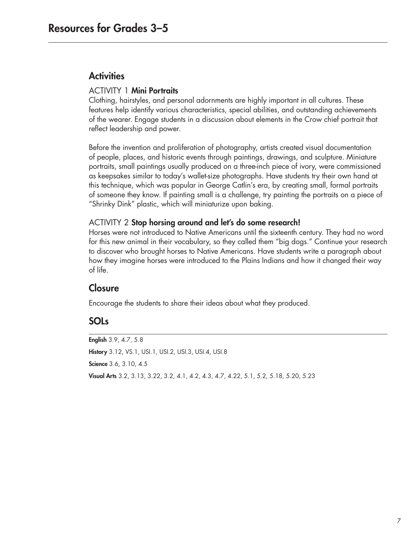#### **Activities**

#### ACTIVITY 1 Mini Portraits

Clothing, hairstyles, and personal adornments are highly important in all cultures. These features help identify various characteristics, special abilities, and outstanding achievements of the wearer. Engage students in a discussion about elements in the Crow chief portrait that reflect leadership and power.

Before the invention and proliferation of photography, artists created visual documentation of people, places, and historic events through paintings, drawings, and sculpture. Miniature portraits, small paintings usually produced on a three-inch piece of ivory, were commissioned as keepsakes similar to today's wallet-size photographs. Have students try their own hand at this technique, which was popular in George Catlin's era, by creating small, formal portraits of someone they know. If painting small is a challenge, try painting the portraits on a piece of "Shrinky Dink" plastic, which will miniaturize upon baking.

#### ACTIVITY 2 Stop horsing around and let's do some research!

Horses were not introduced to Native Americans until the sixteenth century. They had no word for this new animal in their vocabulary, so they called them "big dogs." Continue your research to discover who brought horses to Native Americans. Have students write a paragraph about how they imagine horses were introduced to the Plains Indians and how it changed their way of life.

## **Closure**

Encourage the students to share their ideas about what they produced.

## SOLs

English 3.9, 4.7, 5.8 History 3.12, VS.1, USI.1, USI.2, USI.3, USI.4, USI.8 Science 3.6, 3.10, 4.5 Visual Arts 3.2, 3.13, 3.22, 3.2, 4.1, 4.2, 4.3, 4.7, 4.22, 5.1, 5.2, 5.18, 5.20, 5.23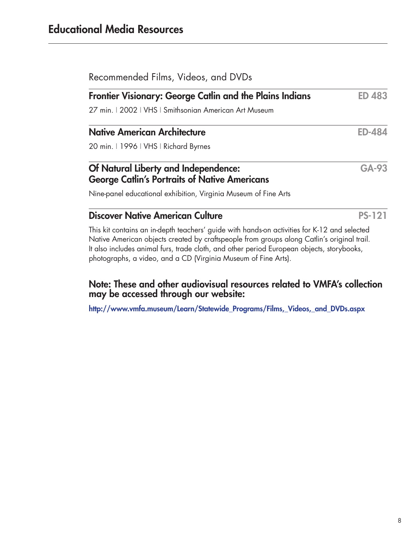| Recommended Films, Videos, and DVDs                                                                                                                                                                                                                                                                                                                       |               |
|-----------------------------------------------------------------------------------------------------------------------------------------------------------------------------------------------------------------------------------------------------------------------------------------------------------------------------------------------------------|---------------|
| <b>Frontier Visionary: George Catlin and the Plains Indians</b>                                                                                                                                                                                                                                                                                           | <b>ED 483</b> |
| 27 min.   2002   VHS   Smithsonian American Art Museum                                                                                                                                                                                                                                                                                                    |               |
| <b>Native American Architecture</b>                                                                                                                                                                                                                                                                                                                       | <b>ED-484</b> |
| 20 min. 11996   VHS   Richard Byrnes                                                                                                                                                                                                                                                                                                                      |               |
| Of Natural Liberty and Independence:<br><b>George Catlin's Portraits of Native Americans</b>                                                                                                                                                                                                                                                              | GA-93         |
| Nine-panel educational exhibition, Virginia Museum of Fine Arts                                                                                                                                                                                                                                                                                           |               |
| <b>Discover Native American Culture</b>                                                                                                                                                                                                                                                                                                                   | <b>PS-121</b> |
| This kit contains an in-depth teachers' guide with hands-on activities for K-12 and selected<br>Native American objects created by craftspeople from groups along Catlin's original trail.<br>It also includes animal furs, trade cloth, and other period European objects, storybooks,<br>photographs, a video, and a CD (Virginia Museum of Fine Arts). |               |

#### Note: These and other audiovisual resources related to VMFA's collection may be accessed through our website:

http://www.vmfa.museum/Learn/Statewide\_Programs/Films,\_Videos,\_and\_DVDs.aspx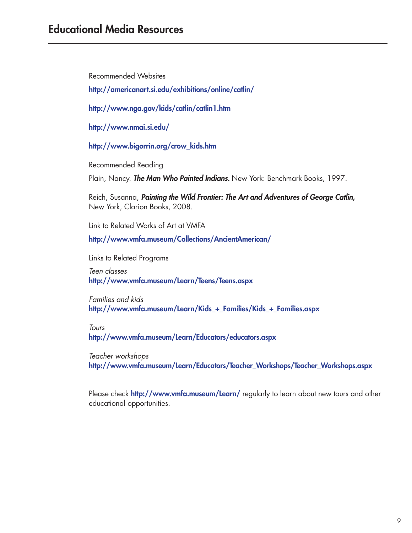Recommended Websites

http://americanart.si.edu/exhibitions/online/catlin/

http://www.nga.gov/kids/catlin/catlin1.htm

http://www.nmai.si.edu/

http://www.bigorrin.org/crow\_kids.htm

Recommended Reading

Plain, Nancy. *The Man Who Painted Indians.* New York: Benchmark Books, 1997.

Reich, Susanna, *Painting the Wild Frontier: The Art and Adventures of George Catlin,*  New York, Clarion Books, 2008.

Link to Related Works of Art at VMFA

http://www.vmfa.museum/Collections/AncientAmerican/

Links to Related Programs

*Teen classes* http://www.vmfa.museum/Learn/Teens/Teens.aspx

*Families and kids* http://www.vmfa.museum/Learn/Kids\_+\_Families/Kids\_+\_Families.aspx

*Tours* http://www.vmfa.museum/Learn/Educators/educators.aspx

*Teacher workshops* http://www.vmfa.museum/Learn/Educators/Teacher\_Workshops/Teacher\_Workshops.aspx

Please check http://www.vmfa.museum/Learn/ regularly to learn about new tours and other educational opportunities.